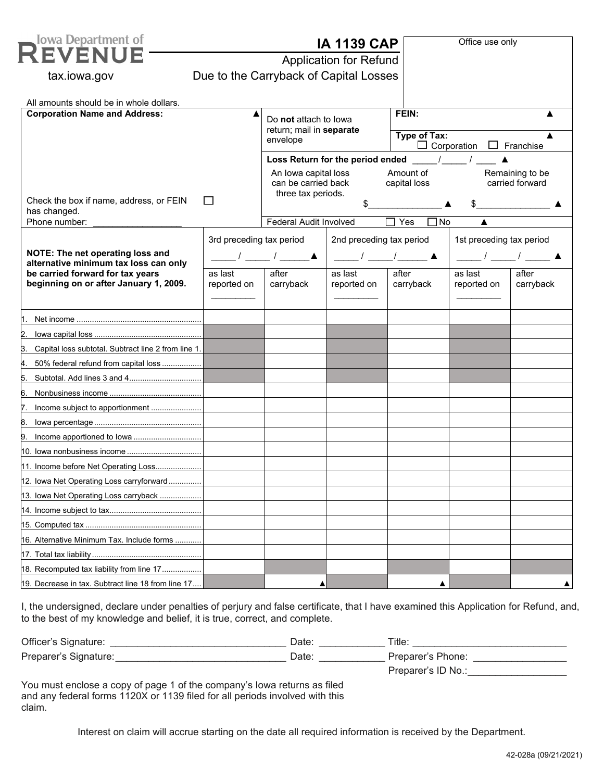| <b>Iowa Department of</b>                                                 | Office use only<br><b>IA 1139 CAP</b> |                                                                                                                                      |                                                            |                                                     |                                                            |           |                                                         |
|---------------------------------------------------------------------------|---------------------------------------|--------------------------------------------------------------------------------------------------------------------------------------|------------------------------------------------------------|-----------------------------------------------------|------------------------------------------------------------|-----------|---------------------------------------------------------|
|                                                                           | <b>Application for Refund</b>         |                                                                                                                                      |                                                            |                                                     |                                                            |           |                                                         |
| Due to the Carryback of Capital Losses<br>tax.iowa.gov                    |                                       |                                                                                                                                      |                                                            |                                                     |                                                            |           |                                                         |
|                                                                           |                                       |                                                                                                                                      |                                                            |                                                     |                                                            |           |                                                         |
| All amounts should be in whole dollars.                                   |                                       |                                                                                                                                      |                                                            |                                                     |                                                            |           |                                                         |
| <b>Corporation Name and Address:</b>                                      |                                       | Do not attach to lowa<br>return; mail in separate<br>envelope                                                                        |                                                            | FEIN:                                               |                                                            |           |                                                         |
|                                                                           |                                       |                                                                                                                                      |                                                            | Type of Tax:<br>$\Box$ Corporation $\Box$ Franchise |                                                            |           |                                                         |
|                                                                           |                                       |                                                                                                                                      | Loss Return for the period ended /                         |                                                     |                                                            |           |                                                         |
| $\mathsf{L}$                                                              |                                       | Amount of<br>Remaining to be<br>An Iowa capital loss<br>carried forward<br>can be carried back<br>capital loss<br>three tax periods. |                                                            |                                                     |                                                            |           |                                                         |
|                                                                           |                                       |                                                                                                                                      |                                                            |                                                     |                                                            |           | Check the box if name, address, or FEIN<br>has changed. |
| Phone number:                                                             |                                       | Federal Audit Involved                                                                                                               |                                                            | Yes<br>$\square$ No                                 |                                                            |           |                                                         |
|                                                                           | 3rd preceding tax period              |                                                                                                                                      | 2nd preceding tax period                                   |                                                     | 1st preceding tax period                                   |           |                                                         |
| NOTE: The net operating loss and<br>alternative minimum tax loss can only |                                       |                                                                                                                                      | $\frac{1}{\sqrt{2\pi}}$ / $\frac{1}{\sqrt{2\pi}}$ $\Delta$ |                                                     | $\frac{1}{\sqrt{2\pi}}$ / $\frac{1}{\sqrt{2\pi}}$ $\Delta$ |           |                                                         |
| be carried forward for tax years                                          | as last                               | after                                                                                                                                | as last                                                    | after                                               | as last                                                    | after     |                                                         |
| beginning on or after January 1, 2009.                                    | reported on                           | carryback                                                                                                                            | reported on                                                | carryback                                           | reported on                                                | carryback |                                                         |
|                                                                           |                                       |                                                                                                                                      |                                                            |                                                     |                                                            |           |                                                         |
|                                                                           |                                       |                                                                                                                                      |                                                            |                                                     |                                                            |           |                                                         |
|                                                                           |                                       |                                                                                                                                      |                                                            |                                                     |                                                            |           |                                                         |
| Capital loss subtotal. Subtract line 2 from line 1.                       |                                       |                                                                                                                                      |                                                            |                                                     |                                                            |           |                                                         |
| 50% federal refund from capital loss                                      |                                       |                                                                                                                                      |                                                            |                                                     |                                                            |           |                                                         |
|                                                                           |                                       |                                                                                                                                      |                                                            |                                                     |                                                            |           |                                                         |
|                                                                           |                                       |                                                                                                                                      |                                                            |                                                     |                                                            |           |                                                         |
| Income subject to apportionment                                           |                                       |                                                                                                                                      |                                                            |                                                     |                                                            |           |                                                         |
|                                                                           |                                       |                                                                                                                                      |                                                            |                                                     |                                                            |           |                                                         |
| p                                                                         |                                       |                                                                                                                                      |                                                            |                                                     |                                                            |           |                                                         |
|                                                                           |                                       |                                                                                                                                      |                                                            |                                                     |                                                            |           |                                                         |
| 11. Income before Net Operating Loss                                      |                                       |                                                                                                                                      |                                                            |                                                     |                                                            |           |                                                         |
| 12. Iowa Net Operating Loss carryforward                                  |                                       |                                                                                                                                      |                                                            |                                                     |                                                            |           |                                                         |
| 13. Iowa Net Operating Loss carryback                                     |                                       |                                                                                                                                      |                                                            |                                                     |                                                            |           |                                                         |
|                                                                           |                                       |                                                                                                                                      |                                                            |                                                     |                                                            |           |                                                         |
|                                                                           |                                       |                                                                                                                                      |                                                            |                                                     |                                                            |           |                                                         |
| 16. Alternative Minimum Tax. Include forms                                |                                       |                                                                                                                                      |                                                            |                                                     |                                                            |           |                                                         |
|                                                                           |                                       |                                                                                                                                      |                                                            |                                                     |                                                            |           |                                                         |
| 18. Recomputed tax liability from line 17                                 |                                       |                                                                                                                                      |                                                            |                                                     |                                                            |           |                                                         |
| 19. Decrease in tax. Subtract line 18 from line 17                        |                                       |                                                                                                                                      |                                                            |                                                     |                                                            |           |                                                         |

I, the undersigned, declare under penalties of perjury and false certificate, that I have examined this Application for Refund, and, to the best of my knowledge and belief, it is true, correct, and complete.

| Officer's Signature:  | Date: | Title:             |
|-----------------------|-------|--------------------|
| Preparer's Signature: | Date: | Preparer's Phone:  |
|                       |       | Preparer's ID No.: |

You must enclose a copy of page 1 of the company's Iowa returns as filed and any federal forms 1120X or 1139 filed for all periods involved with this claim.

Interest on claim will accrue starting on the date all required information is received by the Department.